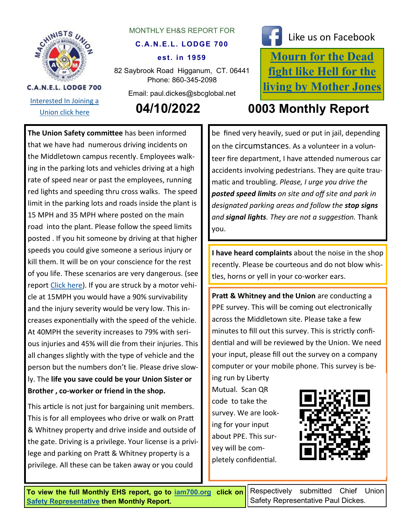

[Interested In Joining a](http://iamawdistrictlodge26.comcastbiz.net/contact-us.shtml) 

**C.A.N.E.L. LODGE 700** 

## MONTHLY EH&S REPORT FOR

## **C.A.N.E.L. LODGE 700**

## **est. in 1959**

82 Saybrook Road Higganum, CT. 06441 Phone: 860-345-2098

Email: paul.dickes@sbcglobal.net



**[Mourn for the Dead](https://aflcio.org/2017/4/28/mourn-dead-fight-hell-living)  [fight like Hell for the](https://aflcio.org/2017/4/28/mourn-dead-fight-hell-living)  [living by Mother Jones](https://aflcio.org/2017/4/28/mourn-dead-fight-hell-living)** Like us on Facebook

**The Union Safety committee** has been informed that we have had numerous driving incidents on the Middletown campus recently. Employees walking in the parking lots and vehicles driving at a high rate of speed near or past the employees, running red lights and speeding thru cross walks. The speed limit in the parking lots and roads inside the plant is 15 MPH and 35 MPH where posted on the main road into the plant. Please follow the speed limits posted . If you hit someone by driving at that higher speeds you could give someone a serious injury or kill them. It will be on your conscience for the rest of you life. These scenarios are very dangerous. (see report [Click here\)](https://nacto.org/wp-content/uploads/2017/11/2011PedestrianRiskVsSpeed.pdf). If you are struck by a motor vehicle at 15MPH you would have a 90% survivability and the injury severity would be very low. This increases exponentially with the speed of the vehicle. At 40MPH the severity increases to 79% with serious injuries and 45% will die from their injuries. This all changes slightly with the type of vehicle and the person but the numbers don't lie. Please drive slowly. The **life you save could be your Union Sister or Brother , co-worker or friend in the shop.**

This article is not just for bargaining unit members. This is for all employees who drive or walk on Pratt & Whitney property and drive inside and outside of the gate. Driving is a privilege. Your license is a privilege and parking on Pratt & Whitney property is a privilege. All these can be taken away or you could

[Union click here](http://iamawdistrictlodge26.comcastbiz.net/contact-us.shtml) **04/10/2022 0003 Monthly Report**

be fined very heavily, sued or put in jail, depending on the circumstances. As a volunteer in a volunteer fire department, I have attended numerous car accidents involving pedestrians. They are quite traumatic and troubling. *Please, I urge you drive the posted speed limits on site and off site and park in designated parking areas and follow the stop signs and signal lights. They are not a suggestion.* Thank you.

**I have heard complaints** about the noise in the shop recently. Please be courteous and do not blow whistles, horns or yell in your co-worker ears.

**Pratt & Whitney and the Union** are conducting a PPE survey. This will be coming out electronically across the Middletown site. Please take a few minutes to fill out this survey. This is strictly confidential and will be reviewed by the Union. We need your input, please fill out the survey on a company computer or your mobile phone. This survey is be-

ing run by Liberty Mutual. Scan QR code to take the survey. We are looking for your input about PPE. This survey will be completely confidential.



**To view the full Monthly EHS report, go to [iam700.org](http://iam700.org/) click on [Safety Representative](http://iam700.org/eh&s_page.htm) then Monthly Report.** 

Respectively submitted Chief Union Safety Representative Paul Dickes.